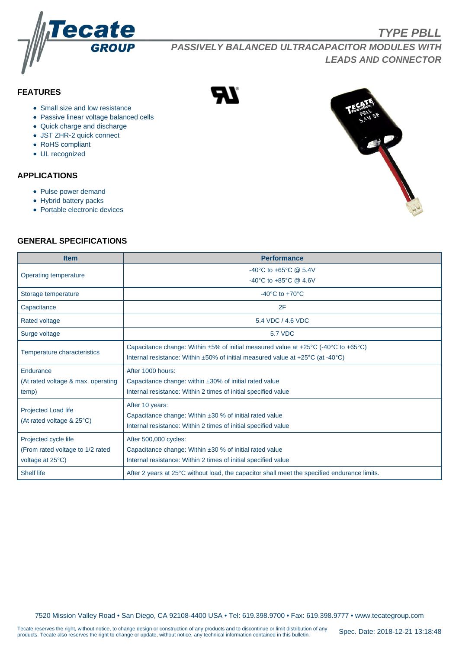

**PASSIVELY BALANCED ULTRACAPACITOR MODULES WITH LEADS AND CONNECTOR**

# **FEATURES**

- Small size and low resistance
- Passive linear voltage balanced cells
- Quick charge and discharge
- JST ZHR-2 quick connect
- RoHS compliant
- UL recognized

#### **APPLICATIONS**

- Pulse power demand
- Hybrid battery packs
- Portable electronic devices

**TYPE PBLL**

#### **GENERAL SPECIFICATIONS**

| <b>Item</b>                        | <b>Performance</b>                                                                                       |  |  |  |  |  |
|------------------------------------|----------------------------------------------------------------------------------------------------------|--|--|--|--|--|
| Operating temperature              | -40°C to +65°C @ 5.4V                                                                                    |  |  |  |  |  |
|                                    | -40°C to +85°C @ 4.6V                                                                                    |  |  |  |  |  |
| Storage temperature                | $-40^{\circ}$ C to $+70^{\circ}$ C                                                                       |  |  |  |  |  |
| Capacitance                        | 2F                                                                                                       |  |  |  |  |  |
| Rated voltage                      | 5.4 VDC / 4.6 VDC                                                                                        |  |  |  |  |  |
| Surge voltage                      | <b>5.7 VDC</b>                                                                                           |  |  |  |  |  |
| Temperature characteristics        | Capacitance change: Within $\pm 5\%$ of initial measured value at $\pm 25^{\circ}$ C (-40°C to +65°C)    |  |  |  |  |  |
|                                    | Internal resistance: Within $\pm 50\%$ of initial measured value at $+25\degree C$ (at -40 $\degree C$ ) |  |  |  |  |  |
| Endurance                          | After 1000 hours:                                                                                        |  |  |  |  |  |
| (At rated voltage & max. operating | Capacitance change: within ±30% of initial rated value                                                   |  |  |  |  |  |
| temp)                              | Internal resistance: Within 2 times of initial specified value                                           |  |  |  |  |  |
|                                    | After 10 years:                                                                                          |  |  |  |  |  |
| Projected Load life                | Capacitance change: Within $\pm 30$ % of initial rated value                                             |  |  |  |  |  |
| (At rated voltage & 25°C)          | Internal resistance: Within 2 times of initial specified value                                           |  |  |  |  |  |
| Projected cycle life               | After 500,000 cycles:                                                                                    |  |  |  |  |  |
| (From rated voltage to 1/2 rated   | Capacitance change: Within ±30 % of initial rated value                                                  |  |  |  |  |  |
| voltage at 25°C)                   | Internal resistance: Within 2 times of initial specified value                                           |  |  |  |  |  |
| <b>Shelf life</b>                  | After 2 years at 25°C without load, the capacitor shall meet the specified endurance limits.             |  |  |  |  |  |

7520 Mission Valley Road • San Diego, CA 92108-4400 USA • Tel: 619.398.9700 • Fax: 619.398.9777 • www.tecategroup.com